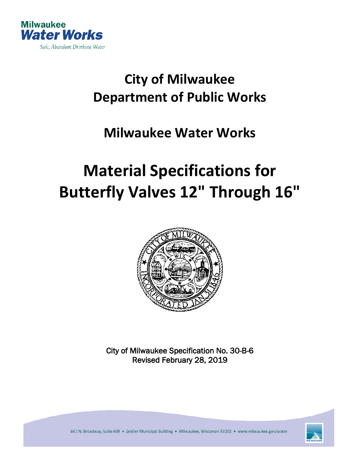

# **City of Milwaukee Department of Public Works**

## **Milwaukee Water Works**

# **Material Specifications for Butterfly Valves 12" Through 16"**



City of Milwaukee Specification No. 30-B-6 Revised February 28, 2019



841 N. Broadway, Suite 409 . Zeidler Municipal Building . Milwaukee, Wisconsin 53202 . www.milwaukee.gov/water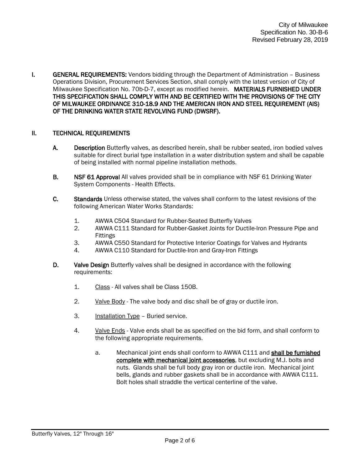I. GENERAL REQUIREMENTS: Vendors bidding through the Department of Administration - Business Operations Division, Procurement Services Section, shall comply with the latest version of City of Milwaukee Specification No. 70b-D-7, except as modified herein. MATERIALS FURNISHED UNDER THIS SPECIFICATION SHALL COMPLY WITH AND BE CERTIFIED WITH THE PROVISIONS OF THE CITY OF MILWAUKEE ORDINANCE 310-18.9 AND THE AMERICAN IRON AND STEEL REQUIREMENT (AIS) OF THE DRINKING WATER STATE REVOLVING FUND (DWSRF).

#### II. TECHNICAL REQUIREMENTS

- A. Description Butterfly valves, as described herein, shall be rubber seated, iron bodied valves suitable for direct burial type installation in a water distribution system and shall be capable of being installed with normal pipeline installation methods.
- B. NSF 61 Approval All valves provided shall be in compliance with NSF 61 Drinking Water System Components - Health Effects.
- C. Standards Unless otherwise stated, the valves shall conform to the latest revisions of the following American Water Works Standards:
	- 1. AWWA C504 Standard for Rubber-Seated Butterfly Valves
	- 2. AWWA C111 Standard for Rubber-Gasket Joints for Ductile-Iron Pressure Pipe and Fittings
	- 3. AWWA C550 Standard for Protective Interior Coatings for Valves and Hydrants
	- 4. AWWA C110 Standard for Ductile-Iron and Gray-Iron Fittings
- D. Valve Design Butterfly valves shall be designed in accordance with the following requirements:
	- 1. Class All valves shall be Class 150B.
	- 2. Valve Body The valve body and disc shall be of gray or ductile iron.
	- 3. Installation Type Buried service.
	- 4. Valve Ends Valve ends shall be as specified on the bid form, and shall conform to the following appropriate requirements.
		- a. Mechanical joint ends shall conform to AWWA C111 and shall be furnished complete with mechanical joint accessories, but excluding M.J. bolts and nuts. Glands shall be full body gray iron or ductile iron. Mechanical joint bells, glands and rubber gaskets shall be in accordance with AWWA C111. Bolt holes shall straddle the vertical centerline of the valve.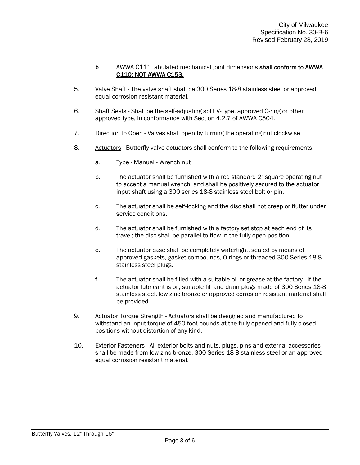#### b. AWWA C111 tabulated mechanical joint dimensions shall conform to AWWA C110; NOT AWWA C153.

- 5. Valve Shaft The valve shaft shall be 300 Series 18-8 stainless steel or approved equal corrosion resistant material.
- 6. Shaft Seals Shall be the self-adjusting split V-Type, approved O-ring or other approved type, in conformance with Section 4.2.7 of AWWA C504.
- 7. Direction to Open Valves shall open by turning the operating nut clockwise
- 8. Actuators Butterfly valve actuators shall conform to the following requirements:
	- a. Type Manual Wrench nut
	- b. The actuator shall be furnished with a red standard 2" square operating nut to accept a manual wrench, and shall be positively secured to the actuator input shaft using a 300 series 18-8 stainless steel bolt or pin.
	- c. The actuator shall be self-locking and the disc shall not creep or flutter under service conditions.
	- d. The actuator shall be furnished with a factory set stop at each end of its travel; the disc shall be parallel to flow in the fully open position.
	- e. The actuator case shall be completely watertight, sealed by means of approved gaskets, gasket compounds, O-rings or threaded 300 Series 18-8 stainless steel plugs.
	- f. The actuator shall be filled with a suitable oil or grease at the factory. If the actuator lubricant is oil, suitable fill and drain plugs made of 300 Series 18-8 stainless steel, low zinc bronze or approved corrosion resistant material shall be provided.
- 9. Actuator Torque Strength Actuators shall be designed and manufactured to withstand an input torque of 450 foot-pounds at the fully opened and fully closed positions without distortion of any kind.
- 10. Exterior Fasteners All exterior bolts and nuts, plugs, pins and external accessories shall be made from low-zinc bronze, 300 Series 18-8 stainless steel or an approved equal corrosion resistant material.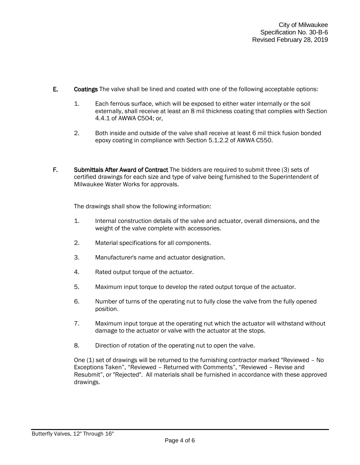- E. Coatings The valve shall be lined and coated with one of the following acceptable options:
	- 1. Each ferrous surface, which will be exposed to either water internally or the soil externally, shall receive at least an 8 mil thickness coating that complies with Section 4.4.1 of AWWA C504; or,
	- 2. Both inside and outside of the valve shall receive at least 6 mil thick fusion bonded epoxy coating in compliance with Section 5.1.2.2 of AWWA C550.
- F. Submittals After Award of Contract The bidders are required to submit three (3) sets of certified drawings for each size and type of valve being furnished to the Superintendent of Milwaukee Water Works for approvals.

The drawings shall show the following information:

- 1. Internal construction details of the valve and actuator, overall dimensions, and the weight of the valve complete with accessories.
- 2. Material specifications for all components.
- 3. Manufacturer's name and actuator designation.
- 4. Rated output torque of the actuator.
- 5. Maximum input torque to develop the rated output torque of the actuator.
- 6. Number of turns of the operating nut to fully close the valve from the fully opened position.
- 7. Maximum input torque at the operating nut which the actuator will withstand without damage to the actuator or valve with the actuator at the stops.
- 8. Direction of rotation of the operating nut to open the valve.

One (1) set of drawings will be returned to the furnishing contractor marked "Reviewed – No Exceptions Taken", "Reviewed – Returned with Comments", "Reviewed – Revise and Resubmit", or "Rejected". All materials shall be furnished in accordance with these approved drawings.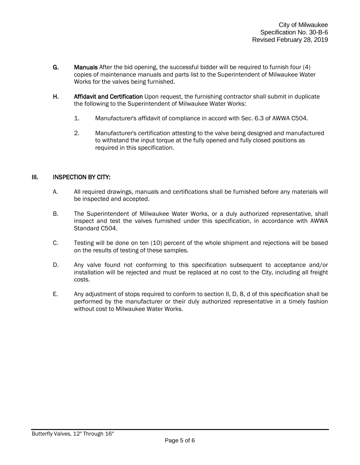- G. Manuals After the bid opening, the successful bidder will be required to furnish four (4) copies of maintenance manuals and parts list to the Superintendent of Milwaukee Water Works for the valves being furnished.
- H. Affidavit and Certification Upon request, the furnishing contractor shall submit in duplicate the following to the Superintendent of Milwaukee Water Works:
	- 1. Manufacturer's affidavit of compliance in accord with Sec. 6.3 of AWWA C504.
	- 2. Manufacturer's certification attesting to the valve being designed and manufactured to withstand the input torque at the fully opened and fully closed positions as required in this specification.

#### III. INSPECTION BY CITY:

- A. All required drawings, manuals and certifications shall be furnished before any materials will be inspected and accepted.
- B. The Superintendent of Milwaukee Water Works, or a duly authorized representative, shall inspect and test the valves furnished under this specification, in accordance with AWWA Standard C504.
- C. Testing will be done on ten (10) percent of the whole shipment and rejections will be based on the results of testing of these samples.
- D. Any valve found not conforming to this specification subsequent to acceptance and/or installation will be rejected and must be replaced at no cost to the City, including all freight costs.
- E. Any adjustment of stops required to conform to section II, D, 8, d of this specification shall be performed by the manufacturer or their duly authorized representative in a timely fashion without cost to Milwaukee Water Works.